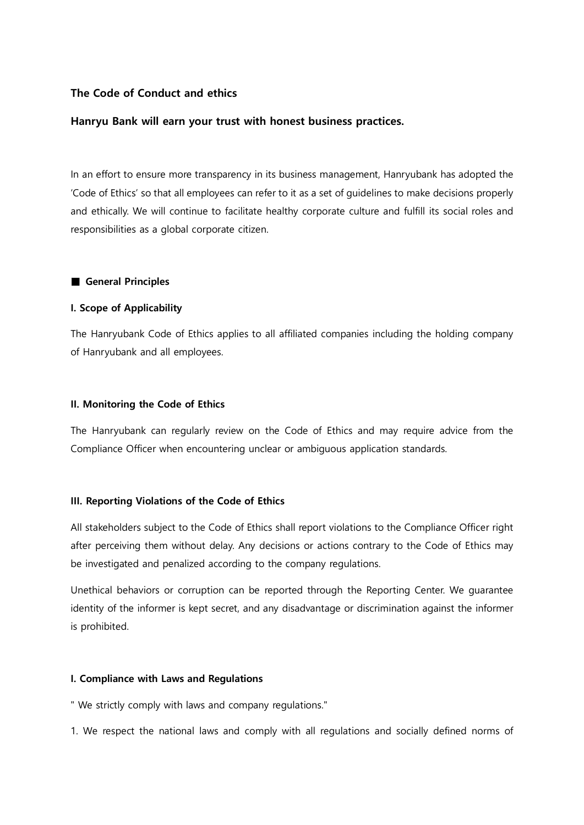# **The Code of Conduct and ethics**

## **Hanryu Bank will earn your trust with honest business practices.**

In an effort to ensure more transparency in its business management, Hanryubank has adopted the 'Code of Ethics' so that all employees can refer to it as a set of guidelines to make decisions properly and ethically. We will continue to facilitate healthy corporate culture and fulfill its social roles and responsibilities as a global corporate citizen.

## ■ **General Principles**

## **I. Scope of Applicability**

The Hanryubank Code of Ethics applies to all affiliated companies including the holding company of Hanryubank and all employees.

## **II. Monitoring the Code of Ethics**

The Hanryubank can regularly review on the Code of Ethics and may require advice from the Compliance Officer when encountering unclear or ambiguous application standards.

# **III. Reporting Violations of the Code of Ethics**

All stakeholders subject to the Code of Ethics shall report violations to the Compliance Officer right after perceiving them without delay. Any decisions or actions contrary to the Code of Ethics may be investigated and penalized according to the company regulations.

Unethical behaviors or corruption can be reported through the Reporting Center. We guarantee identity of the informer is kept secret, and any disadvantage or discrimination against the informer is prohibited.

## **I. Compliance with Laws and Regulations**

" We strictly comply with laws and company regulations."

1. We respect the national laws and comply with all regulations and socially defined norms of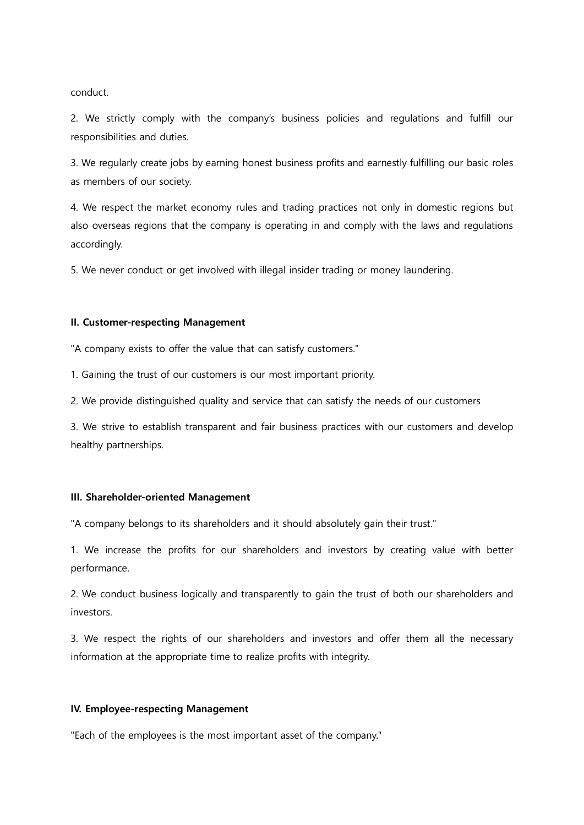conduct.

2. We strictly comply with the company's business policies and regulations and fulfill our responsibilities and duties.

3. We regularly create jobs by earning honest business profits and earnestly fulfilling our basic roles as members of our society.

4. We respect the market economy rules and trading practices not only in domestic regions but also overseas regions that the company is operating in and comply with the laws and regulations accordingly.

5. We never conduct or get involved with illegal insider trading or money laundering.

#### **II. Customer-respecting Management**

"A company exists to offer the value that can satisfy customers."

1. Gaining the trust of our customers is our most important priority.

2. We provide distinguished quality and service that can satisfy the needs of our customers

3. We strive to establish transparent and fair business practices with our customers and develop healthy partnerships.

## **III. Shareholder-oriented Management**

"A company belongs to its shareholders and it should absolutely gain their trust."

1. We increase the profits for our shareholders and investors by creating value with better performance.

2. We conduct business logically and transparently to gain the trust of both our shareholders and investors

3. We respect the rights of our shareholders and investors and offer them all the necessary information at the appropriate time to realize profits with integrity.

#### **IV. Employee-respecting Management**

"Each of the employees is the most important asset of the company."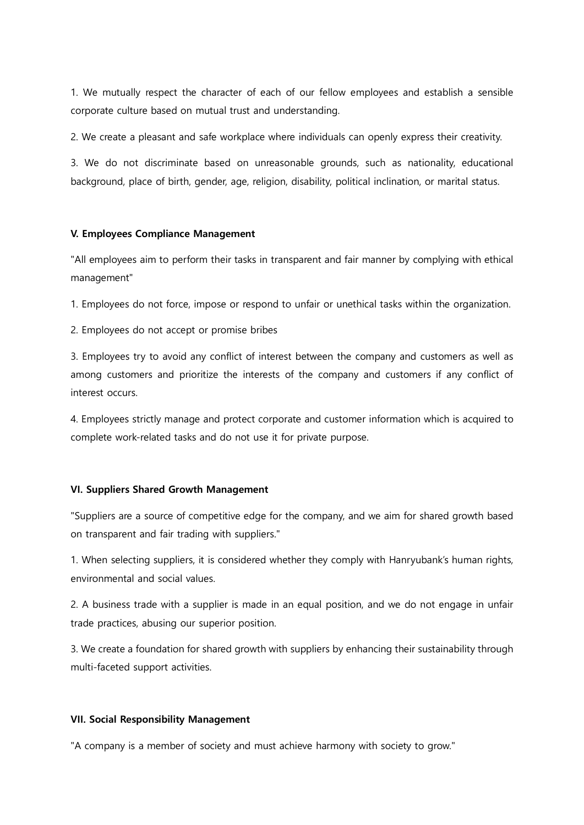1. We mutually respect the character of each of our fellow employees and establish a sensible corporate culture based on mutual trust and understanding.

2. We create a pleasant and safe workplace where individuals can openly express their creativity.

3. We do not discriminate based on unreasonable grounds, such as nationality, educational background, place of birth, gender, age, religion, disability, political inclination, or marital status.

### **V. Employees Compliance Management**

"All employees aim to perform their tasks in transparent and fair manner by complying with ethical management"

1. Employees do not force, impose or respond to unfair or unethical tasks within the organization.

2. Employees do not accept or promise bribes

3. Employees try to avoid any conflict of interest between the company and customers as well as among customers and prioritize the interests of the company and customers if any conflict of interest occurs.

4. Employees strictly manage and protect corporate and customer information which is acquired to complete work-related tasks and do not use it for private purpose.

## **VI. Suppliers Shared Growth Management**

"Suppliers are a source of competitive edge for the company, and we aim for shared growth based on transparent and fair trading with suppliers."

1. When selecting suppliers, it is considered whether they comply with Hanryubank's human rights, environmental and social values.

2. A business trade with a supplier is made in an equal position, and we do not engage in unfair trade practices, abusing our superior position.

3. We create a foundation for shared growth with suppliers by enhancing their sustainability through multi-faceted support activities.

#### **VII. Social Responsibility Management**

"A company is a member of society and must achieve harmony with society to grow."